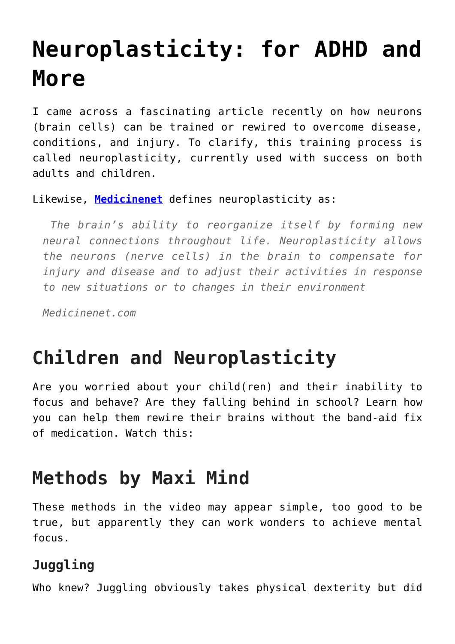# **[Neuroplasticity: for ADHD and](https://loreeebee.ca/2022/02/18/neuroplasticity-for-adhd-and-more/) [More](https://loreeebee.ca/2022/02/18/neuroplasticity-for-adhd-and-more/)**

I came across a fascinating article recently on how neurons (brain cells) can be trained or rewired to overcome disease, conditions, and injury. To clarify, this training process is called neuroplasticity, currently used with success on both adults and children.

Likewise, **[Medicinenet](https://www.medicinenet.com/)** defines neuroplasticity as:

 *The brain's ability to reorganize itself by forming new neural connections throughout life. Neuroplasticity allows the neurons (nerve cells) in the brain to compensate for injury and disease and to adjust their activities in response to new situations or to changes in their environment*

*Medicinenet.com*

### **Children and Neuroplasticity**

Are you worried about your child(ren) and their inability to focus and behave? Are they falling behind in school? Learn how you can help them rewire their brains without the band-aid fix of medication. Watch this:

### **Methods by Maxi Mind**

These methods in the video may appear simple, too good to be true, but apparently they can work wonders to achieve mental focus.

#### **Juggling**

Who knew? Juggling obviously takes physical dexterity but did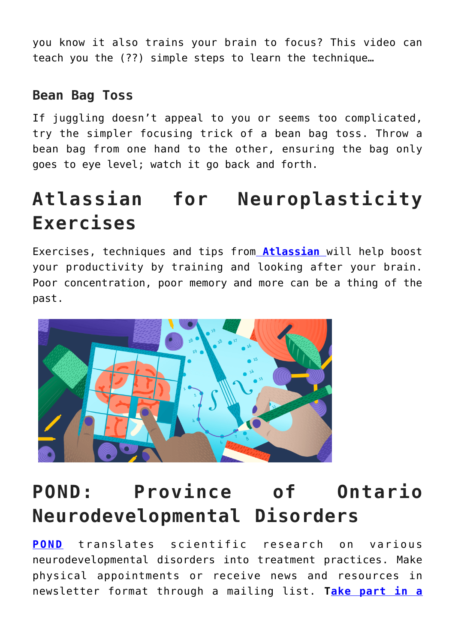you know it also trains your brain to focus? This video can teach you the (??) simple steps to learn the technique…

#### **Bean Bag Toss**

If juggling doesn't appeal to you or seems too complicated, try the simpler focusing trick of a bean bag toss. Throw a bean bag from one hand to the other, ensuring the bag only goes to eye level; watch it go back and forth.

## **Atlassian for Neuroplasticity Exercises**

Exercises, techniques and tips from **[Atlassian](https://www.atlassian.com/blog/productivity/neuroplasticity-train-your-brain)** will help boost your productivity by training and looking after your brain. Poor concentration, poor memory and more can be a thing of the past.



### **POND: Province of Ontario Neurodevelopmental Disorders**

**[POND](https://pond-network.ca/our-mission/)** translates scientific research on various neurodevelopmental disorders into treatment practices. Make physical appointments or receive news and resources in newsletter format through a mailing list. **T[ake part in a](https://hollandbloorview.ca/pond-network-province-ontario-neurodevelopmental-disorders-network?gclid=CjwKCAiA9tyQBhAIEiwA6tdCrMYdkntNWFfrGi-npHoCqTNtQweaYZcjUMiLjC87MvN_y4kAaOCdvhoC918QAvD_BwE)**